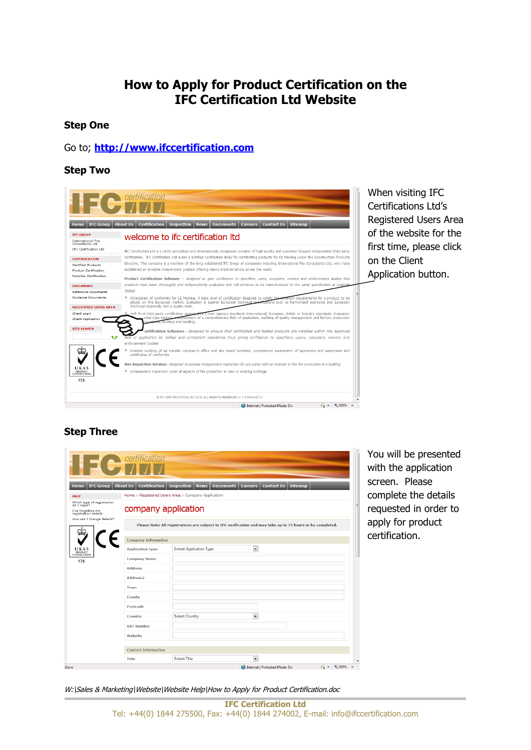# **How to Apply for Product Certification on the IFC Certification Ltd Website**

#### **Step One**

### Go to; **[http://www.ifccertification.com](http://www.ifccertification.com/)**

#### **Step Two**



When visiting IFC Certifications Ltd's Registered Users Area of the website for the first time, please click on the Client Application button.

## **Step Three**

|                                                         | <b>Contract Contract Contract Contract Contract Contract Contract Contract Contract Contract Contract Contract Contract Contract Contract Contract Contract Contract Contract Contract Contract Contract Contract Contract Contr</b> |                                                                                                             |                                                           |                                          |                          |
|---------------------------------------------------------|--------------------------------------------------------------------------------------------------------------------------------------------------------------------------------------------------------------------------------------|-------------------------------------------------------------------------------------------------------------|-----------------------------------------------------------|------------------------------------------|--------------------------|
| <b>IFC Group</b><br><b>Home</b>                         | <b>Certification</b><br><b>About Us</b>                                                                                                                                                                                              | <b>Inspection</b><br><b>Documents</b><br><b>News</b>                                                        | <b>Contact Us</b><br><b>Careers</b>                       | <b>Sitemap</b>                           |                          |
| <b>HELP</b><br>Which type of registration               |                                                                                                                                                                                                                                      | Home > Registered Users Area > Company Application                                                          |                                                           |                                          |                          |
| do I need?<br>I've forgotten my<br>registration details | company application                                                                                                                                                                                                                  |                                                                                                             |                                                           | E                                        |                          |
| How can I change details?                               |                                                                                                                                                                                                                                      | Please Note: All registrations are subject to IFC verification and may take up to 72 hours to be completed. |                                                           |                                          |                          |
|                                                         | <b>Company Information</b>                                                                                                                                                                                                           |                                                                                                             |                                                           |                                          |                          |
| UKAS<br>PRODUCT<br>CERTIFICATION                        | <b>Application type</b>                                                                                                                                                                                                              | <b>Select Application Type</b>                                                                              | $\overline{\phantom{a}}$                                  |                                          |                          |
| 175                                                     | <b>Company Name</b>                                                                                                                                                                                                                  |                                                                                                             |                                                           |                                          |                          |
|                                                         | <b>Address</b>                                                                                                                                                                                                                       |                                                                                                             |                                                           |                                          |                          |
|                                                         | Address <sub>2</sub>                                                                                                                                                                                                                 |                                                                                                             |                                                           |                                          |                          |
|                                                         | Town                                                                                                                                                                                                                                 |                                                                                                             |                                                           |                                          |                          |
|                                                         | County                                                                                                                                                                                                                               |                                                                                                             |                                                           |                                          |                          |
|                                                         | Postcode                                                                                                                                                                                                                             |                                                                                                             |                                                           |                                          |                          |
|                                                         | Country                                                                                                                                                                                                                              | <b>Select Country</b>                                                                                       | ×                                                         |                                          |                          |
|                                                         | <b>VAT Number</b>                                                                                                                                                                                                                    |                                                                                                             |                                                           |                                          |                          |
|                                                         | Website                                                                                                                                                                                                                              |                                                                                                             |                                                           |                                          |                          |
|                                                         | <b>Contact Information</b>                                                                                                                                                                                                           |                                                                                                             |                                                           |                                          |                          |
|                                                         |                                                                                                                                                                                                                                      |                                                                                                             |                                                           |                                          |                          |
| Done                                                    | Title                                                                                                                                                                                                                                | Select Title                                                                                                | $\overline{\phantom{a}}$<br>Internet   Protected Mode: On | $\frac{1}{10}$ + $\frac{100\%}{100\%}$ + | $\overline{\phantom{a}}$ |

You will be presented with the application screen. Please complete the details requested in order to apply for product certification.

W:\Sales & Marketing\Website\Website Help\How to Apply for Product Certification.doc